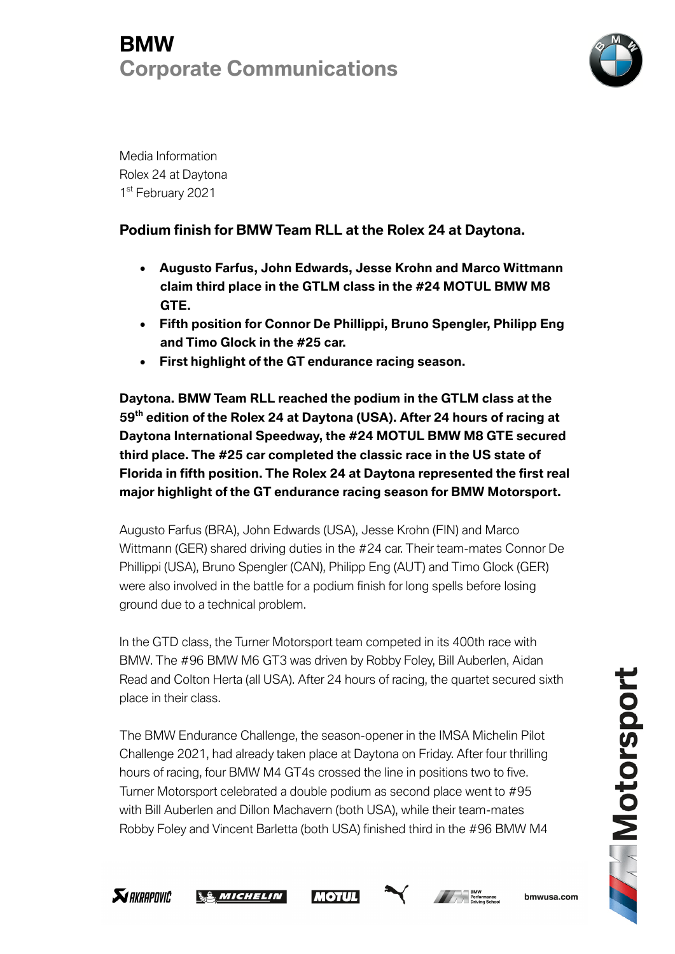

Media Information Rolex 24 at Daytona 1<sup>st</sup> February 2021

### **Podium finish for BMW Team RLL at the Rolex 24 at Daytona.**

- **Augusto Farfus, John Edwards, Jesse Krohn and Marco Wittmann claim third place in the GTLM class in the #24 MOTUL BMW M8 GTE.**
- **Fifth position for Connor De Phillippi, Bruno Spengler, Philipp Eng and Timo Glock in the #25 car.**
- **First highlight of the GT endurance racing season.**

**Daytona. BMW Team RLL reached the podium in the GTLM class at the 59th edition of the Rolex 24 at Daytona (USA). After 24 hours of racing at Daytona International Speedway, the #24 MOTUL BMW M8 GTE secured third place. The #25 car completed the classic race in the US state of Florida in fifth position. The Rolex 24 at Daytona represented the first real major highlight of the GT endurance racing season for BMW Motorsport.**

Augusto Farfus (BRA), John Edwards (USA), Jesse Krohn (FIN) and Marco Wittmann (GER) shared driving duties in the #24 car. Their team-mates Connor De Phillippi (USA), Bruno Spengler (CAN), Philipp Eng (AUT) and Timo Glock (GER) were also involved in the battle for a podium finish for long spells before losing ground due to a technical problem.

In the GTD class, the Turner Motorsport team competed in its 400th race with BMW. The #96 BMW M6 GT3 was driven by Robby Foley, Bill Auberlen, Aidan Read and Colton Herta (all USA). After 24 hours of racing, the quartet secured sixth place in their class.

The BMW Endurance Challenge, the season-opener in the IMSA Michelin Pilot Challenge 2021, had already taken place at Daytona on Friday. After four thrilling hours of racing, four BMW M4 GT4s crossed the line in positions two to five. Turner Motorsport celebrated a double podium as second place went to #95 with Bill Auberlen and Dillon Machavern (both USA), while their team-mates Robby Foley and Vincent Barletta (both USA) finished third in the #96 BMW M4









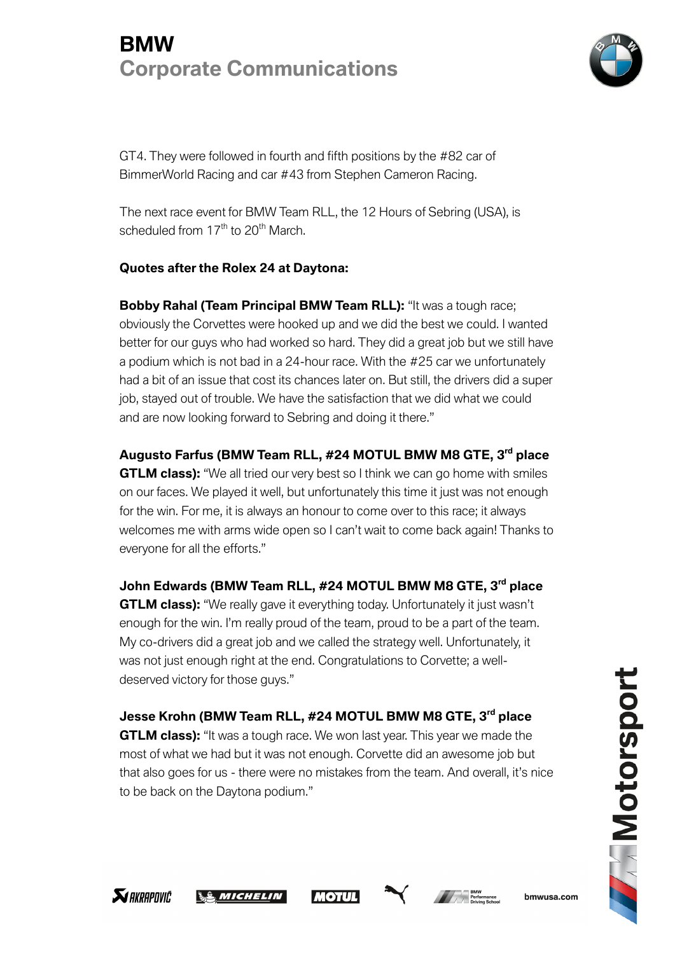

GT4. They were followed in fourth and fifth positions by the #82 car of BimmerWorld Racing and car #43 from Stephen Cameron Racing.

The next race event for BMW Team RLL, the 12 Hours of Sebring (USA), is scheduled from  $17<sup>th</sup>$  to 20<sup>th</sup> March.

### **Quotes after the Rolex 24 at Daytona:**

**Bobby Rahal (Team Principal BMW Team RLL):** "It was a tough race; obviously the Corvettes were hooked up and we did the best we could. I wanted better for our guys who had worked so hard. They did a great job but we still have a podium which is not bad in a 24-hour race. With the #25 car we unfortunately had a bit of an issue that cost its chances later on. But still, the drivers did a super job, stayed out of trouble. We have the satisfaction that we did what we could and are now looking forward to Sebring and doing it there."

**Augusto Farfus (BMW Team RLL, #24 MOTUL BMW M8 GTE, 3rd place GTLM class):** "We all tried our very best so I think we can go home with smiles on our faces. We played it well, but unfortunately this time it just was not enough for the win. For me, it is always an honour to come over to this race; it always welcomes me with arms wide open so I can't wait to come back again! Thanks to everyone for all the efforts."

**John Edwards (BMW Team RLL, #24 MOTUL BMW M8 GTE, 3rd place GTLM class):** "We really gave it everything today. Unfortunately it just wasn't enough for the win. I'm really proud of the team, proud to be a part of the team. My co-drivers did a great job and we called the strategy well. Unfortunately, it was not just enough right at the end. Congratulations to Corvette; a welldeserved victory for those guys."

**Jesse Krohn (BMW Team RLL, #24 MOTUL BMW M8 GTE, 3rd place GTLM class):** "It was a tough race. We won last year. This year we made the most of what we had but it was not enough. Corvette did an awesome job but that also goes for us - there were no mistakes from the team. And overall, it's nice to be back on the Daytona podium."









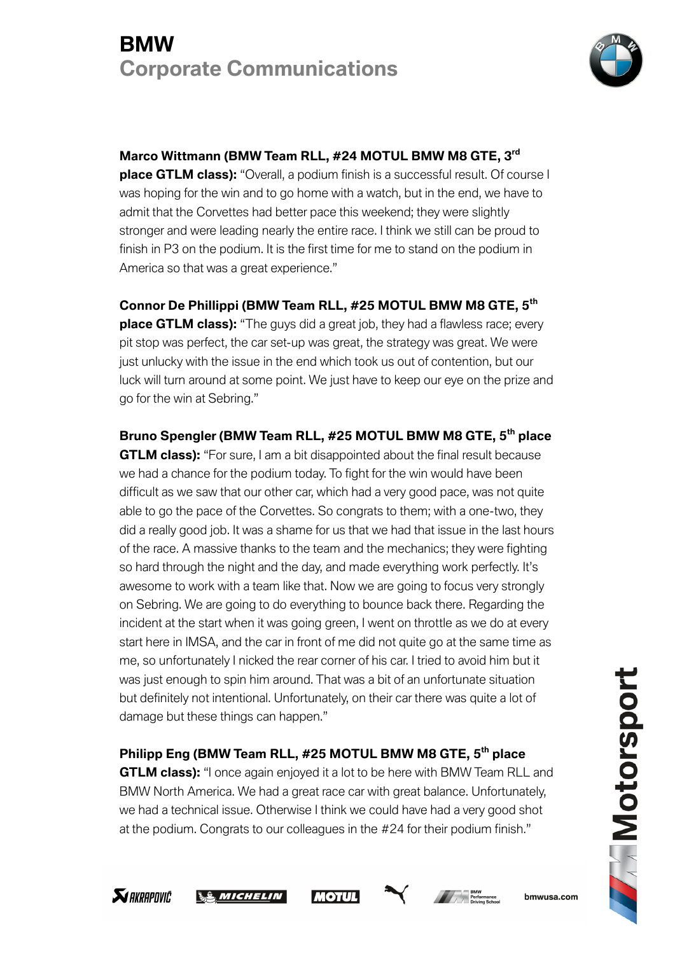

#### **Marco Wittmann (BMW Team RLL, #24 MOTUL BMW M8 GTE, 3rd**

**place GTLM class):** "Overall, a podium finish is a successful result. Of course I was hoping for the win and to go home with a watch, but in the end, we have to admit that the Corvettes had better pace this weekend; they were slightly stronger and were leading nearly the entire race. I think we still can be proud to finish in P3 on the podium. It is the first time for me to stand on the podium in America so that was a great experience."

**Connor De Phillippi (BMW Team RLL, #25 MOTUL BMW M8 GTE, 5th place GTLM class):** "The guys did a great job, they had a flawless race; every pit stop was perfect, the car set-up was great, the strategy was great. We were just unlucky with the issue in the end which took us out of contention, but our luck will turn around at some point. We just have to keep our eye on the prize and go for the win at Sebring."

**Bruno Spengler (BMW Team RLL, #25 MOTUL BMW M8 GTE, 5th place GTLM class):** "For sure, I am a bit disappointed about the final result because we had a chance for the podium today. To fight for the win would have been difficult as we saw that our other car, which had a very good pace, was not quite able to go the pace of the Corvettes. So congrats to them; with a one-two, they did a really good job. It was a shame for us that we had that issue in the last hours of the race. A massive thanks to the team and the mechanics; they were fighting so hard through the night and the day, and made everything work perfectly. It's awesome to work with a team like that. Now we are going to focus very strongly on Sebring. We are going to do everything to bounce back there. Regarding the incident at the start when it was going green, I went on throttle as we do at every start here in IMSA, and the car in front of me did not quite go at the same time as me, so unfortunately I nicked the rear corner of his car. I tried to avoid him but it was just enough to spin him around. That was a bit of an unfortunate situation but definitely not intentional. Unfortunately, on their car there was quite a lot of damage but these things can happen."

**Philipp Eng (BMW Team RLL, #25 MOTUL BMW M8 GTE, 5th place GTLM class):** "I once again enjoyed it a lot to be here with BMW Team RLL and BMW North America. We had a great race car with great balance. Unfortunately, we had a technical issue. Otherwise I think we could have had a very good shot at the podium. Congrats to our colleagues in the #24 for their podium finish."









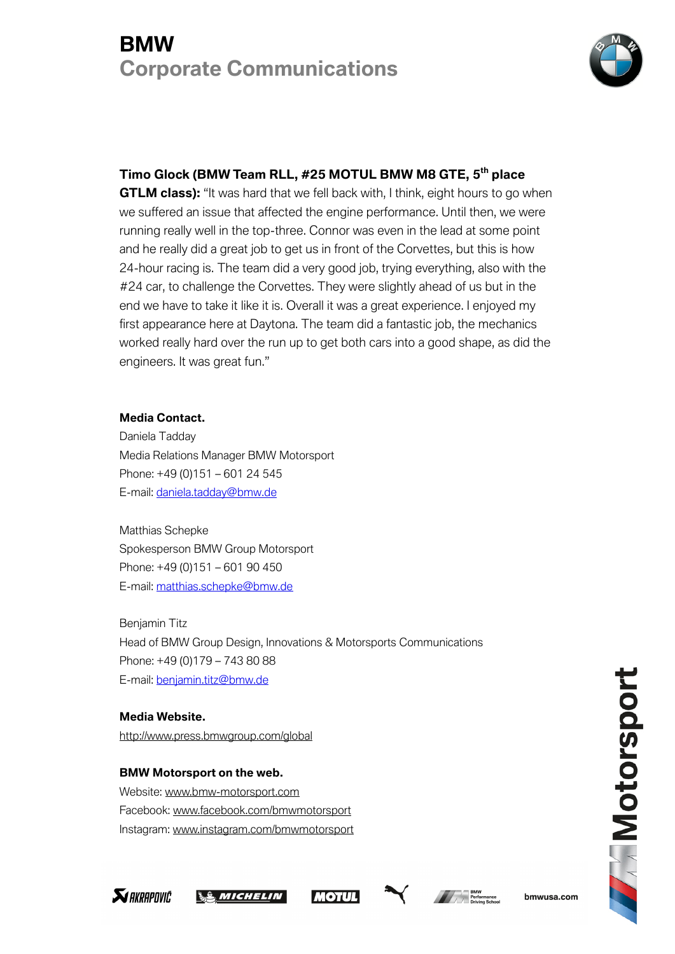

#### **Timo Glock (BMW Team RLL, #25 MOTUL BMW M8 GTE, 5th place**

**GTLM class):** "It was hard that we fell back with, I think, eight hours to go when we suffered an issue that affected the engine performance. Until then, we were running really well in the top-three. Connor was even in the lead at some point and he really did a great job to get us in front of the Corvettes, but this is how 24-hour racing is. The team did a very good job, trying everything, also with the #24 car, to challenge the Corvettes. They were slightly ahead of us but in the end we have to take it like it is. Overall it was a great experience. I enjoyed my first appearance here at Daytona. The team did a fantastic job, the mechanics worked really hard over the run up to get both cars into a good shape, as did the engineers. It was great fun."

#### **Media Contact.**

Daniela Tadday Media Relations Manager BMW Motorsport Phone: +49 (0)151 – 601 24 545 E-mail: daniela.tadday@bmw.de

Matthias Schepke Spokesperson BMW Group Motorsport Phone: +49 (0)151 – 601 90 450 E-mail: matthias.schepke@bmw.de

Benjamin Titz Head of BMW Group Design, Innovations & Motorsports Communications Phone: +49 (0)179 – 743 80 88 E-mail: benjamin.titz@bmw.de

**Media Website.** http://www.press.bmwgroup.com/global

**SI AKRAPOVIC** 

**BMW Motorsport on the web.** Website: www.bmw-motorsport.com Facebook: www.facebook.com/bmwmotorsport Instagram: www.instagram.com/bmwmotorsport